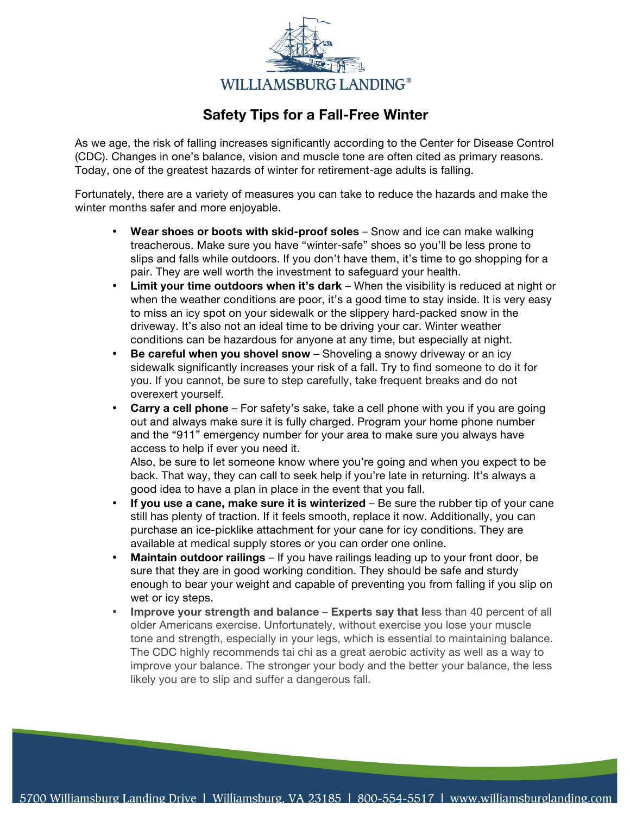

## **Safety Tips for a Fall-Free Winter**

As we age, the risk of falling increases significantly according to the Center for Disease Control (CDC). Changes in one's balance, vision and muscle tone are often cited as primary reasons. Today, one of the greatest hazards of winter for retirement-age adults is falling.

Fortunately, there are a variety of measures you can take to reduce the hazards and make the winter months safer and more enjoyable.

- **Wear shoes or boots with skid-proof soles** Snow and ice can make walking treacherous. Make sure you have "winter-safe" shoes so you'll be less prone to slips and falls while outdoors. If you don't have them, it's time to go shopping for a pair. They are well worth the investment to safeguard your health.
- **Limit your time outdoors when it's dark**  When the visibility is reduced at night or when the weather conditions are poor, it's a good time to stay inside. It is very easy to miss an icy spot on your sidewalk or the slippery hard-packed snow in the driveway. It's also not an ideal time to be driving your car. Winter weather conditions can be hazardous for anyone at any time, but especially at night.
- **Be careful when you shovel snow**  Shoveling a snowy driveway or an icy sidewalk significantly increases your risk of a fall. Try to find someone to do it for you. If you cannot, be sure to step carefully, take frequent breaks and do not overexert yourself.
- **Carry a cell phone** For safety's sake, take a cell phone with you if you are going out and always make sure it is fully charged. Program your home phone number and the "911" emergency number for your area to make sure you always have access to help if ever you need it.

Also, be sure to let someone know where you're going and when you expect to be back. That way, they can call to seek help if you're late in returning. It's always a good idea to have a plan in place in the event that you fall.

- **If you use a cane, make sure it is winterized** Be sure the rubber tip of your cane still has plenty of traction. If it feels smooth, replace it now. Additionally, you can purchase an ice-picklike attachment for your cane for icy conditions. They are available at medical supply stores or you can order one online.
- **Maintain outdoor railings** If you have railings leading up to your front door, be sure that they are in good working condition. They should be safe and sturdy enough to bear your weight and capable of preventing you from falling if you slip on wet or icy steps.
- **Improve your strength and balance Experts say that l**ess than 40 percent of all older Americans exercise. Unfortunately, without exercise you lose your muscle tone and strength, especially in your legs, which is essential to maintaining balance. The CDC highly recommends tai chi as a great aerobic activity as well as a way to improve your balance. The stronger your body and the better your balance, the less likely you are to slip and suffer a dangerous fall.